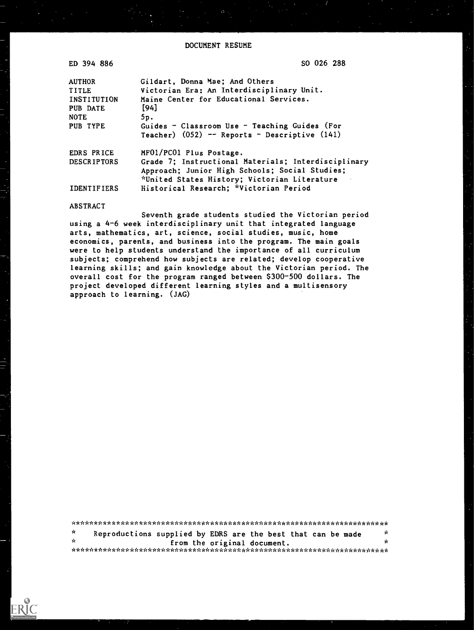| ED 394 886              | SO 026 288                                                                                                                               |
|-------------------------|------------------------------------------------------------------------------------------------------------------------------------------|
| <b>AUTHOR</b>           | Gildart, Donna Mae; And Others                                                                                                           |
| <b>TITLE</b>            | Victorian Era; An Interdisciplinary Unit.                                                                                                |
| INSTITUTION             | Maine Center for Educational Services.                                                                                                   |
| PUB DATE                | $[94]$                                                                                                                                   |
| <b>NOTE</b><br>PUB TYPE | 5p.<br>Guides - Classroom Use - Teaching Guides (For<br>Teacher) (052) -- Reports - Descriptive (141)                                    |
| EDRS PRICE              | MF01/PC01 Plus Postage.                                                                                                                  |
| <b>DESCRIPTORS</b>      | Grade 7; Instructional Materials; Interdisciplinary                                                                                      |
| <b>IDENTIFIERS</b>      | Approach; Junior High Schools; Social Studies;<br>*United States History; Victorian Literature<br>Historical Research; *Victorian Period |

#### **ABSTRACT**

Seventh grade students studied the Victorian period using a 4-6 week interdisciplinary unit that integrated language arts, mathematics, art, science, social studies, music, home economics, parents, and business into the program. The main goals were to help students understand the importance of all curriculum subjects; comprehend how subjects are related; develop cooperative learning skills; and gain knowledge about the Victorian period. The overall cost for the program ranged between \$300-500 dollars. The project developed different learning styles and a multisensory approach to learning. (JAG)

 $\dot{\mathbf{x}}$ Reproductions supplied by EDRS are the best that can be made  $\mathbf{r}$  $\dot{\mathbf{r}}$ from the original document.  $\mathbf{r}$ 

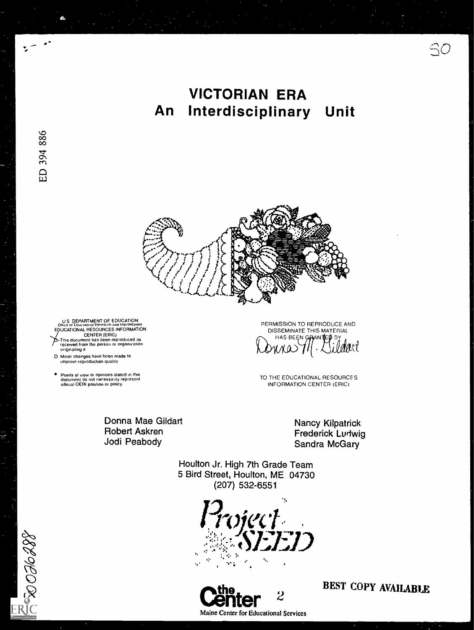# **VICTORIAN ERA** Interdisciplinary An Unit



U.S. DEPARTMENT OF EDUCATION UTTRE OF LOUGHIONAL RESOURCES INFORMATION<br>EDUCATIONAL RESOURCES INFORMATION University of the reproduced as<br>received from the person or organization<br>originating it

D. Minor changes have been made to<br>improve reproduction quality

● Points of view or opinions stated in this<br>document do not necessarily represent<br>official OERI position or policy.

Donna Mae Gildart **Robert Askren** Jodi Peabody

DISSEMINATE THIS MATERIAL SSEMINATE THIS MAIL  $\delta$ nne $>$ 111.

PERMISSION TO REPRODUCE AND

TO THE EDUCATIONAL RESOURCES INFORMATION CENTER (ERIC)

> **Nancy Kilpatrick** Frederick Ludwig Sandra McGary

Houlton Jr. High 7th Grade Team 5 Bird Street, Houlton, ME 04730 (207) 532-6551

Toject<br>- SEED a. a



**BEST COPY AVAILABLE** 

 $SO$ 

 $\frac{1}{2}$  to  $\frac{1}{2}$  or  $\frac{1}{2}$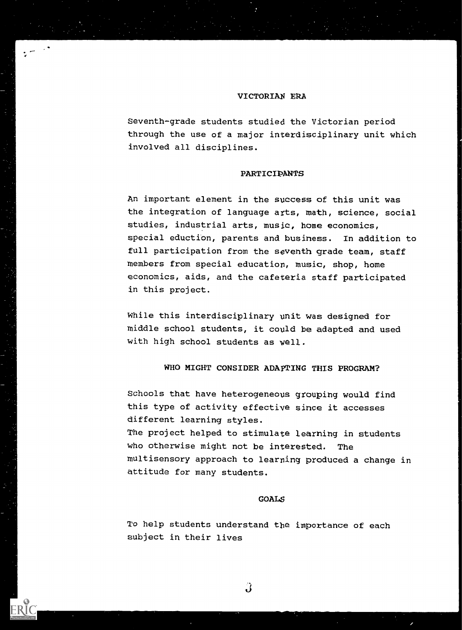#### VICTORIAN ERA

 $\mathcal{L}$ 

Seventh-grade students studied the Victorian period through the use of a major interdisciplinary unit which involved all disciplines.

# PARTICIPANTS

An important element in the success of this unit was the integration of language arts, math, science, social studies, industrial arts, music, home economics, special eduction, parents and business. In addition to full participation from the seventh grade team, staff members from special education, music, shop, home economics, aids, and the cafeteria staff participated in this project.

While this interdisciplinary unit was designed for middle school students, it could be adapted and used with high school students as well.

## WHO MIGHT CONSIDER ADAPTING THIS PROGRAM?

Schools that have heterogeneous grouping would find this type of activity effective since it accesses different learning styles. The project helped to stimulate learning in students who otherwise might not be interested. The multisensory approach to learning produced a change in attitude for many students.

## GOALS

To help students understand the importance of each subject in their lives

 $\hat{\mathbf{J}}$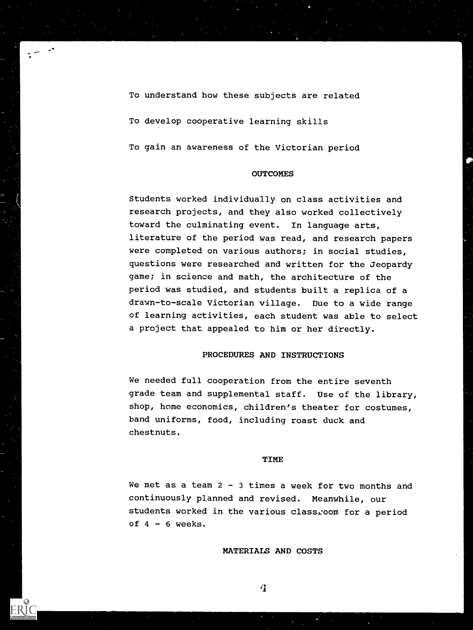To understand how these subjects are related To develop cooperative learning skills To gain an awareness of the Victorian period

## **OUTCOMES**

Students worked individually on class activities and research projects, and they also worked collectively toward the culminating event. In language arts, literature of the period was read, and research papers were completed on various authors; in social studies, questions were researched and written for the Jeopardy game; in science and math, the architecture of the period was studied, and students built a replica of a drawn-to-scale Victorian village. Due to a wide range of learning activities, each student was able to select a project that appealed to him or her directly.

# PROCEDURES AND INSTRUCTIONS

We needed full cooperation from the entire seventh grade team and supplemental staff. Use of the library, shop, home economics, children's theater for costumes, band uniforms, food, including roast duck and chestnuts.

### TIME

We met as a team  $2 - 3$  times a week for two months and continuously planned and revised. Meanwhile, our students worked in the various classroom for a period of  $4 - 6$  weeks.

# MATERIALS AND COSTS